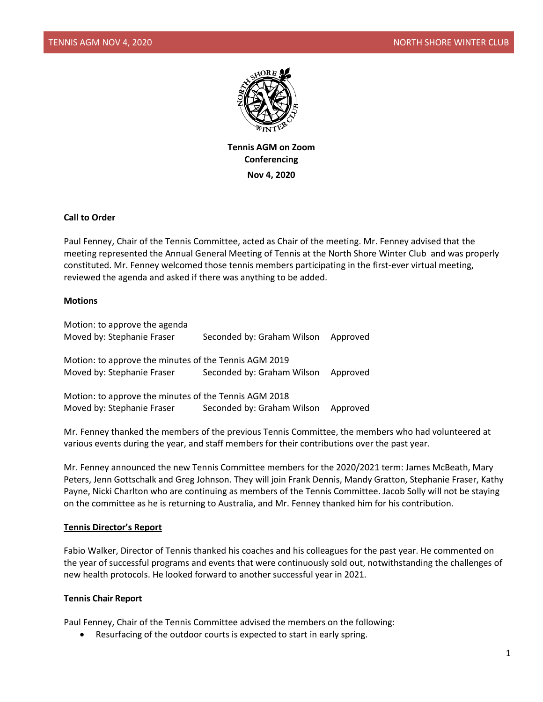

**Tennis AGM on Zoom Conferencing Nov 4, 2020**

### **Call to Order**

Paul Fenney, Chair of the Tennis Committee, acted as Chair of the meeting. Mr. Fenney advised that the meeting represented the Annual General Meeting of Tennis at the North Shore Winter Club and was properly constituted. Mr. Fenney welcomed those tennis members participating in the first-ever virtual meeting, reviewed the agenda and asked if there was anything to be added.

### **Motions**

| Motion: to approve the agenda                         |                            |          |
|-------------------------------------------------------|----------------------------|----------|
| Moved by: Stephanie Fraser                            | Seconded by: Graham Wilson | Approved |
|                                                       |                            |          |
| Motion: to approve the minutes of the Tennis AGM 2019 |                            |          |
| Moved by: Stephanie Fraser                            | Seconded by: Graham Wilson | Approved |
|                                                       |                            |          |
| Motion: to approve the minutes of the Tennis AGM 2018 |                            |          |
| Moved by: Stephanie Fraser                            | Seconded by: Graham Wilson | Approved |
|                                                       |                            |          |

Mr. Fenney thanked the members of the previous Tennis Committee, the members who had volunteered at various events during the year, and staff members for their contributions over the past year.

Mr. Fenney announced the new Tennis Committee members for the 2020/2021 term: James McBeath, Mary Peters, Jenn Gottschalk and Greg Johnson. They will join Frank Dennis, Mandy Gratton, Stephanie Fraser, Kathy Payne, Nicki Charlton who are continuing as members of the Tennis Committee. Jacob Solly will not be staying on the committee as he is returning to Australia, and Mr. Fenney thanked him for his contribution.

### **Tennis Director's Report**

Fabio Walker, Director of Tennis thanked his coaches and his colleagues for the past year. He commented on the year of successful programs and events that were continuously sold out, notwithstanding the challenges of new health protocols. He looked forward to another successful year in 2021.

#### **Tennis Chair Report**

Paul Fenney, Chair of the Tennis Committee advised the members on the following:

Resurfacing of the outdoor courts is expected to start in early spring.